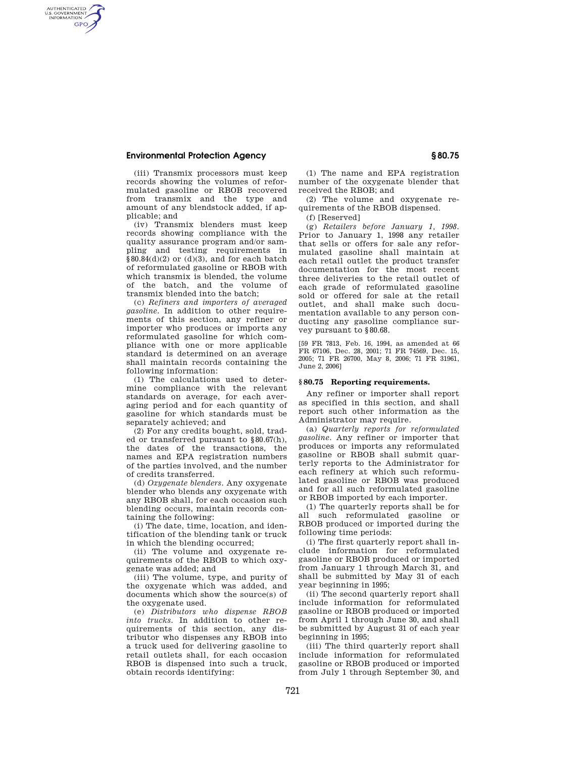# **Environmental Protection Agency § 80.75**

AUTHENTICATED<br>U.S. GOVERNMENT<br>INFORMATION **GPO** 

> (iii) Transmix processors must keep records showing the volumes of reformulated gasoline or RBOB recovered from transmix and the type and amount of any blendstock added, if applicable; and

> (iv) Transmix blenders must keep records showing compliance with the quality assurance program and/or sampling and testing requirements in  $§80.84(d)(2)$  or  $(d)(3)$ , and for each batch of reformulated gasoline or RBOB with which transmix is blended, the volume of the batch, and the volume of transmix blended into the batch;

> (c) *Refiners and importers of averaged gasoline.* In addition to other requirements of this section, any refiner or importer who produces or imports any reformulated gasoline for which compliance with one or more applicable standard is determined on an average shall maintain records containing the following information:

> (1) The calculations used to determine compliance with the relevant standards on average, for each averaging period and for each quantity of gasoline for which standards must be separately achieved; and

> (2) For any credits bought, sold, traded or transferred pursuant to §80.67(h), the dates of the transactions, the names and EPA registration numbers of the parties involved, and the number of credits transferred.

> (d) *Oxygenate blenders.* Any oxygenate blender who blends any oxygenate with any RBOB shall, for each occasion such blending occurs, maintain records containing the following:

> (i) The date, time, location, and identification of the blending tank or truck in which the blending occurred;

> (ii) The volume and oxygenate requirements of the RBOB to which oxygenate was added; and

> (iii) The volume, type, and purity of the oxygenate which was added, and documents which show the source(s) of the oxygenate used.

> (e) *Distributors who dispense RBOB into trucks.* In addition to other requirements of this section, any distributor who dispenses any RBOB into a truck used for delivering gasoline to retail outlets shall, for each occasion RBOB is dispensed into such a truck, obtain records identifying:

(1) The name and EPA registration number of the oxygenate blender that received the RBOB; and

(2) The volume and oxygenate requirements of the RBOB dispensed.

(f) [Reserved]

(g) *Retailers before January 1, 1998.*  Prior to January 1, 1998 any retailer that sells or offers for sale any reformulated gasoline shall maintain at each retail outlet the product transfer documentation for the most recent three deliveries to the retail outlet of each grade of reformulated gasoline sold or offered for sale at the retail outlet, and shall make such documentation available to any person conducting any gasoline compliance survey pursuant to §80.68.

[59 FR 7813, Feb. 16, 1994, as amended at 66 FR 67106, Dec. 28, 2001; 71 FR 74569, Dec. 15, 2005; 71 FR 26700, May 8, 2006; 71 FR 31961, June 2, 2006]

# **§ 80.75 Reporting requirements.**

Any refiner or importer shall report as specified in this section, and shall report such other information as the Administrator may require.

(a) *Quarterly reports for reformulated gasoline*. Any refiner or importer that produces or imports any reformulated gasoline or RBOB shall submit quarterly reports to the Administrator for each refinery at which such reformulated gasoline or RBOB was produced and for all such reformulated gasoline or RBOB imported by each importer.

(1) The quarterly reports shall be for all such reformulated gasoline or RBOB produced or imported during the following time periods:

(i) The first quarterly report shall include information for reformulated gasoline or RBOB produced or imported from January 1 through March 31, and shall be submitted by May 31 of each year beginning in 1995;

(ii) The second quarterly report shall include information for reformulated gasoline or RBOB produced or imported from April 1 through June 30, and shall be submitted by August 31 of each year beginning in 1995;

(iii) The third quarterly report shall include information for reformulated gasoline or RBOB produced or imported from July 1 through September 30, and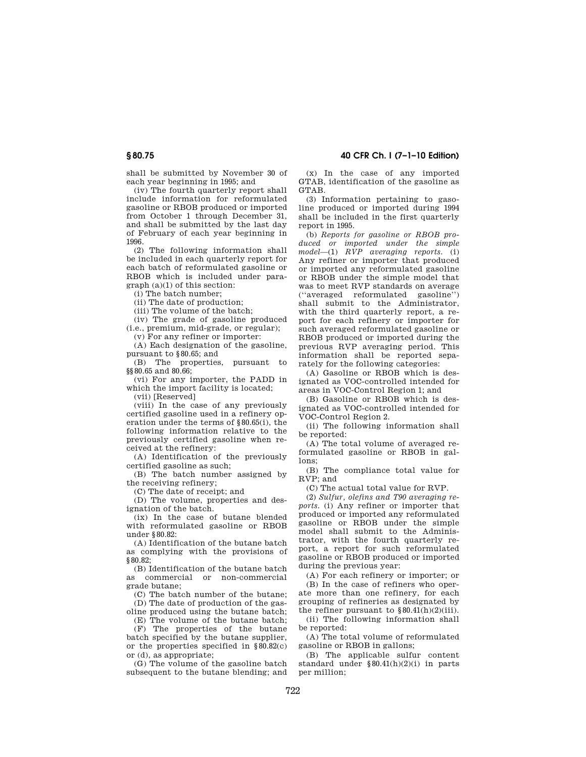shall be submitted by November 30 of each year beginning in 1995; and

(iv) The fourth quarterly report shall include information for reformulated gasoline or RBOB produced or imported from October 1 through December 31, and shall be submitted by the last day of February of each year beginning in 1996.

(2) The following information shall be included in each quarterly report for each batch of reformulated gasoline or RBOB which is included under paragraph (a)(1) of this section:

(i) The batch number;

(ii) The date of production;

(iii) The volume of the batch;

(iv) The grade of gasoline produced (i.e., premium, mid-grade, or regular);

(v) For any refiner or importer:

(A) Each designation of the gasoline, pursuant to §80.65; and

(B) The properties, pursuant to §§80.65 and 80.66;

(vi) For any importer, the PADD in which the import facility is located;

(vii) [Reserved]

(viii) In the case of any previously certified gasoline used in a refinery operation under the terms of §80.65(i), the following information relative to the previously certified gasoline when received at the refinery:

(A) Identification of the previously certified gasoline as such;

(B) The batch number assigned by the receiving refinery;

(C) The date of receipt; and

(D) The volume, properties and designation of the batch.

(ix) In the case of butane blended with reformulated gasoline or RBOB under §80.82:

(A) Identification of the butane batch as complying with the provisions of §80.82;

(B) Identification of the butane batch as commercial or non-commercial grade butane;

(C) The batch number of the butane; (D) The date of production of the gas-

oline produced using the butane batch; (E) The volume of the butane batch;

(F) The properties of the butane batch specified by the butane supplier, or the properties specified in §80.82(c) or (d), as appropriate;

(G) The volume of the gasoline batch subsequent to the butane blending; and

(x) In the case of any imported GTAB, identification of the gasoline as GTAB

(3) Information pertaining to gasoline produced or imported during 1994 shall be included in the first quarterly report in 1995.

(b) *Reports for gasoline or RBOB produced or imported under the simple model*—(1) *RVP averaging reports.* (i) Any refiner or importer that produced or imported any reformulated gasoline or RBOB under the simple model that was to meet RVP standards on average (''averaged reformulated gasoline'') shall submit to the Administrator, with the third quarterly report, a report for each refinery or importer for such averaged reformulated gasoline or RBOB produced or imported during the previous RVP averaging period. This information shall be reported separately for the following categories:

(A) Gasoline or RBOB which is designated as VOC-controlled intended for areas in VOC-Control Region 1; and

(B) Gasoline or RBOB which is designated as VOC-controlled intended for VOC-Control Region 2.

(ii) The following information shall be reported:

(A) The total volume of averaged reformulated gasoline or RBOB in gallons;

(B) The compliance total value for RVP; and

(C) The actual total value for RVP.

(2) *Sulfur, olefins and T90 averaging reports.* (i) Any refiner or importer that produced or imported any reformulated gasoline or RBOB under the simple model shall submit to the Administrator, with the fourth quarterly report, a report for such reformulated gasoline or RBOB produced or imported during the previous year:

(A) For each refinery or importer; or

(B) In the case of refiners who operate more than one refinery, for each grouping of refineries as designated by the refiner pursuant to  $\$80.41(h)(2)(iii)$ .

(ii) The following information shall be reported:

(A) The total volume of reformulated gasoline or RBOB in gallons;

(B) The applicable sulfur content standard under §80.41(h)(2)(i) in parts per million;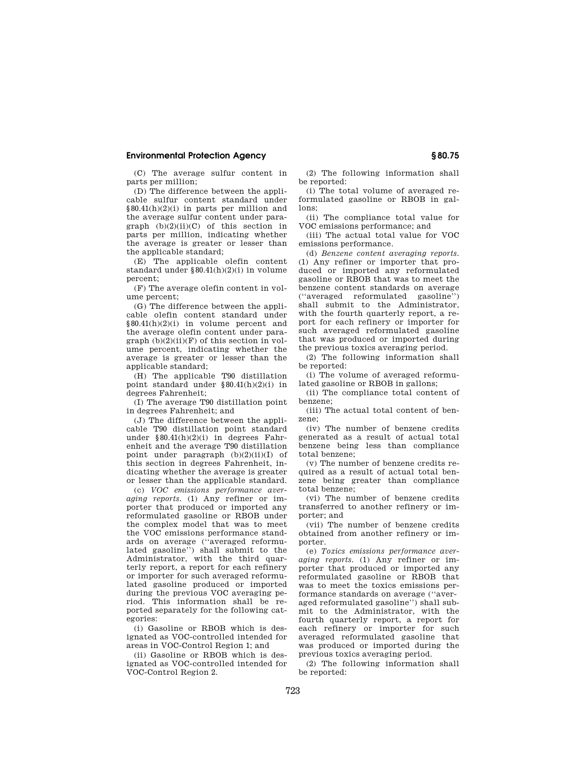### **Environmental Protection Agency § 80.75**

(C) The average sulfur content in parts per million;

(D) The difference between the applicable sulfur content standard under §80.41(h)(2)(i) in parts per million and the average sulfur content under para $graph (b)(2)(ii)(C) of this section in$ parts per million, indicating whether the average is greater or lesser than the applicable standard;

(E) The applicable olefin content standard under §80.41(h)(2)(i) in volume percent;

(F) The average olefin content in volume percent;

(G) The difference between the applicable olefin content standard under §80.41(h)(2)(i) in volume percent and the average olefin content under para $graph (b)(2)(ii)(F)$  of this section in volume percent, indicating whether the average is greater or lesser than the applicable standard;

(H) The applicable T90 distillation point standard under §80.41(h)(2)(i) in degrees Fahrenheit;

(I) The average T90 distillation point in degrees Fahrenheit; and

(J) The difference between the applicable T90 distillation point standard under  $$80.41(h)(2)(i)$  in degrees Fahrenheit and the average T90 distillation point under paragraph  $(b)(2)(ii)(I)$  of this section in degrees Fahrenheit, indicating whether the average is greater or lesser than the applicable standard.

(c) *VOC emissions performance averaging reports.* (1) Any refiner or importer that produced or imported any reformulated gasoline or RBOB under the complex model that was to meet the VOC emissions performance standards on average (''averaged reformulated gasoline'') shall submit to the Administrator, with the third quarterly report, a report for each refinery or importer for such averaged reformulated gasoline produced or imported during the previous VOC averaging period. This information shall be reported separately for the following categories:

(i) Gasoline or RBOB which is designated as VOC-controlled intended for areas in VOC-Control Region 1; and

(ii) Gasoline or RBOB which is designated as VOC-controlled intended for VOC-Control Region 2.

(2) The following information shall be reported:

(i) The total volume of averaged reformulated gasoline or RBOB in gallons;

(ii) The compliance total value for VOC emissions performance; and

(iii) The actual total value for VOC emissions performance.

(d) *Benzene content averaging reports.*  (1) Any refiner or importer that produced or imported any reformulated gasoline or RBOB that was to meet the benzene content standards on average (''averaged reformulated gasoline'') shall submit to the Administrator, with the fourth quarterly report, a report for each refinery or importer for such averaged reformulated gasoline that was produced or imported during the previous toxics averaging period.

(2) The following information shall be reported:

(i) The volume of averaged reformulated gasoline or RBOB in gallons;

(ii) The compliance total content of benzene;

(iii) The actual total content of benzene;

(iv) The number of benzene credits generated as a result of actual total benzene being less than compliance total benzene;

(v) The number of benzene credits required as a result of actual total benzene being greater than compliance total benzene;

(vi) The number of benzene credits transferred to another refinery or importer; and

(vii) The number of benzene credits obtained from another refinery or importer.

(e) *Toxics emissions performance averaging reports.* (1) Any refiner or importer that produced or imported any reformulated gasoline or RBOB that was to meet the toxics emissions performance standards on average (''averaged reformulated gasoline'') shall submit to the Administrator, with the fourth quarterly report, a report for each refinery or importer for such averaged reformulated gasoline that was produced or imported during the previous toxics averaging period.

(2) The following information shall be reported: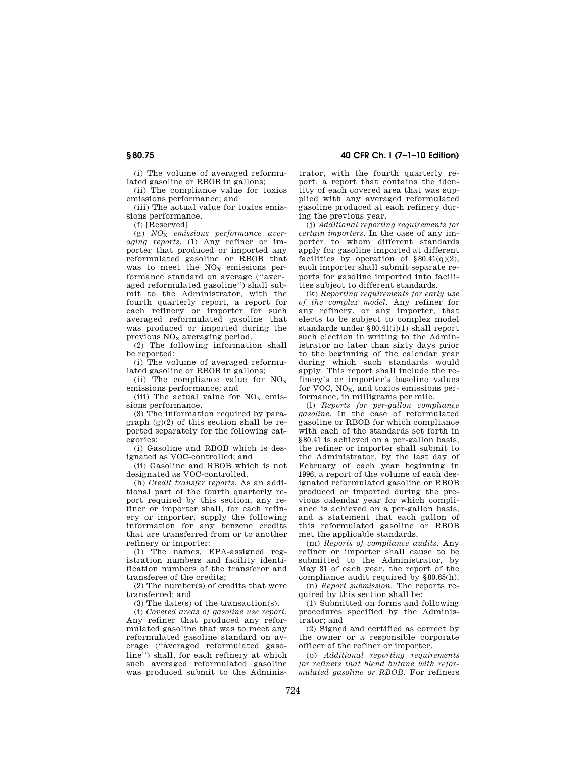(i) The volume of averaged reformulated gasoline or RBOB in gallons;

(ii) The compliance value for toxics emissions performance; and

(iii) The actual value for toxics emissions performance.

(f) [Reserved]

(g) *NO*<sup>X</sup> *emissions performance averaging reports.* (1) Any refiner or importer that produced or imported any reformulated gasoline or RBOB that was to meet the  $NO<sub>x</sub>$  emissions performance standard on average (''averaged reformulated gasoline'') shall submit to the Administrator, with the fourth quarterly report, a report for each refinery or importer for such averaged reformulated gasoline that was produced or imported during the previous NO<sub>x</sub> averaging period.

(2) The following information shall be reported:

(i) The volume of averaged reformulated gasoline or RBOB in gallons;

(ii) The compliance value for  $NO<sub>x</sub>$ emissions performance; and

(iii) The actual value for  $NO<sub>x</sub>$  emissions performance.

(3) The information required by paragraph  $(g)(2)$  of this section shall be reported separately for the following categories:

(i) Gasoline and RBOB which is designated as VOC-controlled; and

(ii) Gasoline and RBOB which is not designated as VOC-controlled.

(h) *Credit transfer reports.* As an additional part of the fourth quarterly report required by this section, any refiner or importer shall, for each refinery or importer, supply the following information for any benzene credits that are transferred from or to another refinery or importer:

(1) The names, EPA-assigned registration numbers and facility identification numbers of the transferor and transferee of the credits;

(2) The number(s) of credits that were transferred; and

(3) The date(s) of the transaction(s).

(i) *Covered areas of gasoline use report.*  Any refiner that produced any reformulated gasoline that was to meet any reformulated gasoline standard on average (''averaged reformulated gasoline'') shall, for each refinery at which such averaged reformulated gasoline was produced submit to the Adminis-

**§ 80.75 40 CFR Ch. I (7–1–10 Edition)** 

trator, with the fourth quarterly report, a report that contains the identity of each covered area that was supplied with any averaged reformulated gasoline produced at each refinery during the previous year.

(j) *Additional reporting requirements for certain importers.* In the case of any importer to whom different standards apply for gasoline imported at different facilities by operation of  $§80.41(q)(2)$ , such importer shall submit separate reports for gasoline imported into facilities subject to different standards.

(k) *Reporting requirements for early use of the complex model.* Any refiner for any refinery, or any importer, that elects to be subject to complex model standards under §80.41(i)(1) shall report such election in writing to the Administrator no later than sixty days prior to the beginning of the calendar year during which such standards would apply. This report shall include the refinery's or importer's baseline values for VOC,  $NO<sub>x</sub>$ , and toxics emissions performance, in milligrams per mile.

(l) *Reports for per-gallon compliance gasoline.* In the case of reformulated gasoline or RBOB for which compliance with each of the standards set forth in §80.41 is achieved on a per-gallon basis, the refiner or importer shall submit to the Administrator, by the last day of February of each year beginning in 1996, a report of the volume of each designated reformulated gasoline or RBOB produced or imported during the previous calendar year for which compliance is achieved on a per-gallon basis, and a statement that each gallon of this reformulated gasoline or RBOB met the applicable standards.

(m) *Reports of compliance audits.* Any refiner or importer shall cause to be submitted to the Administrator, by May 31 of each year, the report of the compliance audit required by §80.65(h).

(n) *Report submission.* The reports required by this section shall be:

(1) Submitted on forms and following procedures specified by the Administrator; and

(2) Signed and certified as correct by the owner or a responsible corporate officer of the refiner or importer.

(o) *Additional reporting requirements for refiners that blend butane with reformulated gasoline or RBOB.* For refiners